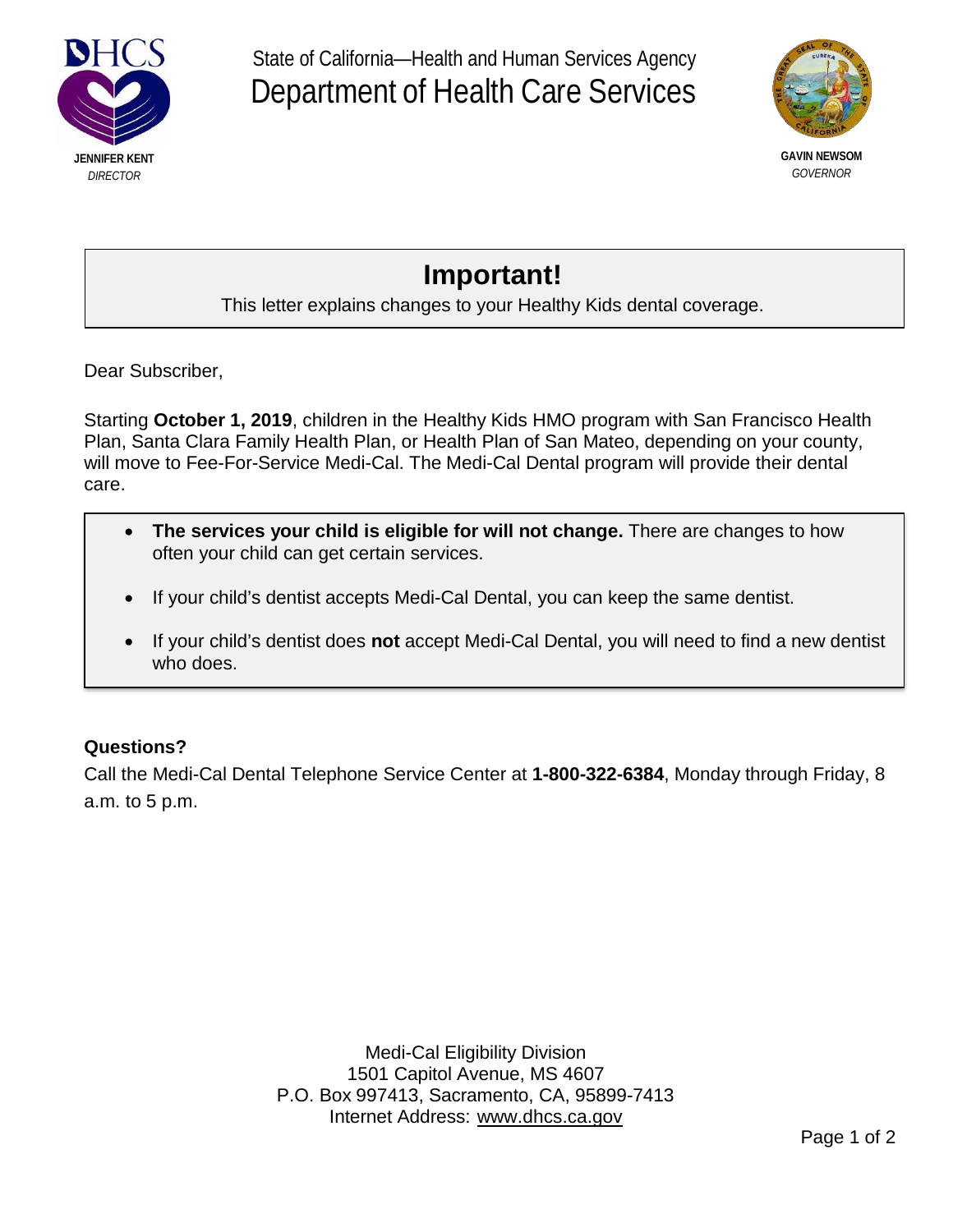

State of California—Health and Human Services Agency Department of Health Care Services



*GOVERNOR*

## **Important!**

## This letter explains changes to your Healthy Kids dental coverage.

Dear Subscriber,

Starting **October 1, 2019**, children in the Healthy Kids HMO program with San Francisco Health Plan, Santa Clara Family Health Plan, or Health Plan of San Mateo, depending on your county, will move to Fee-For-Service Medi-Cal. The Medi-Cal Dental program will provide their dental care.

- **The services your child is eligible for will not change.** There are changes to how often your child can get certain services.
- If your child's dentist accepts Medi-Cal Dental, you can keep the same dentist.
- If your child's dentist does **not** accept Medi-Cal Dental, you will need to find a new dentist who does.

## **Questions?**

Call the Medi-Cal Dental Telephone Service Center at **1-800-322-6384**, Monday through Friday, 8 a.m. to 5 p.m.

> Medi-Cal Eligibility Division 1501 Capitol Avenue, MS 4607 P.O. Box 997413, Sacramento, CA, 95899-7413 Internet Address: [www.dhcs.ca.gov](http://www.dhcs.ca.gov/)